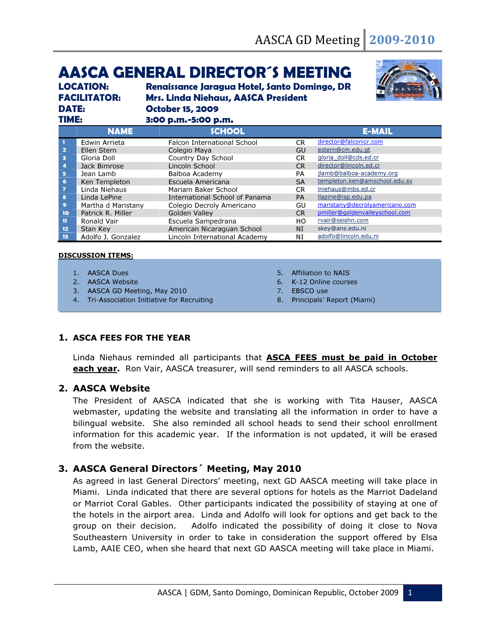# AASCA GENERAL DIRECTOR´S MEETING

*LOCATION: Renaissance Jaragua Hotel, Santo Domingo, DR FACILITATOR: Mrs. Linda Niehaus, AASCA President DATE: October 15, 2009 TIME: 3:00 p.m.-5:00 p.m.* 



| -------                 |                    | $5.99$ paint $5.99$ paint          |           |                                |
|-------------------------|--------------------|------------------------------------|-----------|--------------------------------|
|                         | <b>NAME</b>        | <b>SCHOOL</b>                      |           | <b>E-MAIL</b>                  |
|                         | Edwin Arrieta      | <b>Falcon International School</b> | CR.       | director@falconicr.com         |
| $\overline{\mathbf{2}}$ | Ellen Stern        | Colegio Maya                       | GU        | estern@cm.edu.gt               |
| в                       | Gloria Doll        | Country Day School                 | CR.       | gloria_doll@cds.ed.cr          |
| 4                       | Jack Bimrose       | Lincoln School                     | CR.       | director@lincoln.ed.cr         |
| $\overline{5}$          | Jean Lamb          | Balboa Academy                     | PA        | jlamb@balboa-academy.org       |
| 6                       | Ken Templeton      | Escuela Americana                  | <b>SA</b> | templeton.ken@amschool.edu.sv  |
| 7                       | Linda Niehaus      | Mariam Baker School                | CR.       | Iniehaus@mbs.ed.cr             |
| 8                       | Linda LePine       | International School of Panama     | <b>PA</b> | llapine@isp.edu.pa             |
| $\bullet$               | Martha d Maristany | Colegio Decroly Americano          | GU        | maristany@decrolyamericano.com |
| 10                      | Patrick R. Miller  | Golden Valley                      | CR.       | pmiller@goldenvalleyschool.com |
| $\mathbf{11}$           | Ronald Vair        | Escuela Sampedrana                 | HO.       | rvair@seishn.com               |
| $12 \overline{ }$       | Stan Key           | American Nicaraguan School         | NI        | skey@ans.edu.ni                |
| 13                      | Adolfo J. Gonzalez | Lincoln International Academy      | ΝI        | adolfo@lincoln.edu.ni          |

#### DISCUSSION ITEMS:

- 1. AASCA Dues
- 2. AASCA Website
- 3. AASCA GD Meeting, May 2010
- 4. Tri-Association Initiative for Recruiting
- 5. Affiliation to NAIS
- 6. K-12 Online courses
- 7. EBSCO use
- 8. Principals' Report (Miami)

## 1. ASCA FEES FOR THE YEAR

Linda Niehaus reminded all participants that **ASCA FEES must be paid in October** each year. Ron Vair, AASCA treasurer, will send reminders to all AASCA schools.

#### 2. AASCA Website

The President of AASCA indicated that she is working with Tita Hauser, AASCA webmaster, updating the website and translating all the information in order to have a bilingual website. She also reminded all school heads to send their school enrollment information for this academic year. If the information is not updated, it will be erased from the website.

## 3. AASCA General Directors´ Meeting, May 2010

As agreed in last General Directors' meeting, next GD AASCA meeting will take place in Miami. Linda indicated that there are several options for hotels as the Marriot Dadeland or Marriot Coral Gables. Other participants indicated the possibility of staying at one of the hotels in the airport area. Linda and Adolfo will look for options and get back to the group on their decision. Adolfo indicated the possibility of doing it close to Nova Southeastern University in order to take in consideration the support offered by Elsa Lamb, AAIE CEO, when she heard that next GD AASCA meeting will take place in Miami.